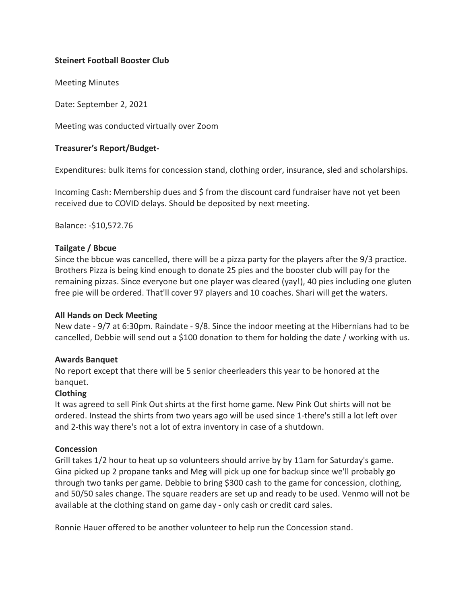# **Steinert Football Booster Club**

Meeting Minutes

Date: September 2, 2021

Meeting was conducted virtually over Zoom

# **Treasurer's Report/Budget-**

Expenditures: bulk items for concession stand, clothing order, insurance, sled and scholarships.

Incoming Cash: Membership dues and \$ from the discount card fundraiser have not yet been received due to COVID delays. Should be deposited by next meeting.

Balance: -\$10,572.76

### **Tailgate / Bbcue**

Since the bbcue was cancelled, there will be a pizza party for the players after the 9/3 practice. Brothers Pizza is being kind enough to donate 25 pies and the booster club will pay for the remaining pizzas. Since everyone but one player was cleared (yay!), 40 pies including one gluten free pie will be ordered. That'll cover 97 players and 10 coaches. Shari will get the waters.

### **All Hands on Deck Meeting**

New date - 9/7 at 6:30pm. Raindate - 9/8. Since the indoor meeting at the Hibernians had to be cancelled, Debbie will send out a \$100 donation to them for holding the date / working with us.

### **Awards Banquet**

No report except that there will be 5 senior cheerleaders this year to be honored at the banquet.

### **Clothing**

It was agreed to sell Pink Out shirts at the first home game. New Pink Out shirts will not be ordered. Instead the shirts from two years ago will be used since 1-there's still a lot left over and 2-this way there's not a lot of extra inventory in case of a shutdown.

### **Concession**

Grill takes 1/2 hour to heat up so volunteers should arrive by by 11am for Saturday's game. Gina picked up 2 propane tanks and Meg will pick up one for backup since we'll probably go through two tanks per game. Debbie to bring \$300 cash to the game for concession, clothing, and 50/50 sales change. The square readers are set up and ready to be used. Venmo will not be available at the clothing stand on game day - only cash or credit card sales.

Ronnie Hauer offered to be another volunteer to help run the Concession stand.